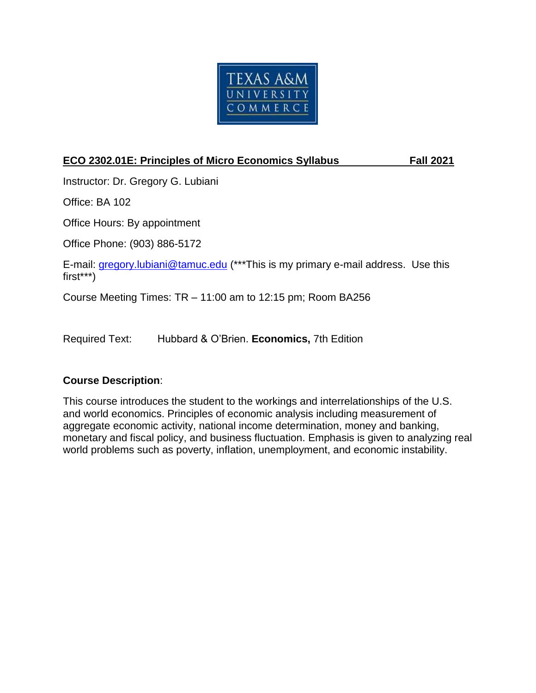

# **ECO 2302.01E: Principles of Micro Economics Syllabus Fall 2021**

Instructor: Dr. Gregory G. Lubiani

Office: BA 102

Office Hours: By appointment

Office Phone: (903) 886-5172

E-mail: [gregory.lubiani@tamuc.edu](mailto:gregory.lubiani@tamuc.edu) (\*\*\*This is my primary e-mail address. Use this first\*\*\*)

Course Meeting Times: TR – 11:00 am to 12:15 pm; Room BA256

Required Text: Hubbard & O'Brien. **Economics,** 7th Edition

# **Course Description**:

This course introduces the student to the workings and interrelationships of the U.S. and world economics. Principles of economic analysis including measurement of aggregate economic activity, national income determination, money and banking, monetary and fiscal policy, and business fluctuation. Emphasis is given to analyzing real world problems such as poverty, inflation, unemployment, and economic instability.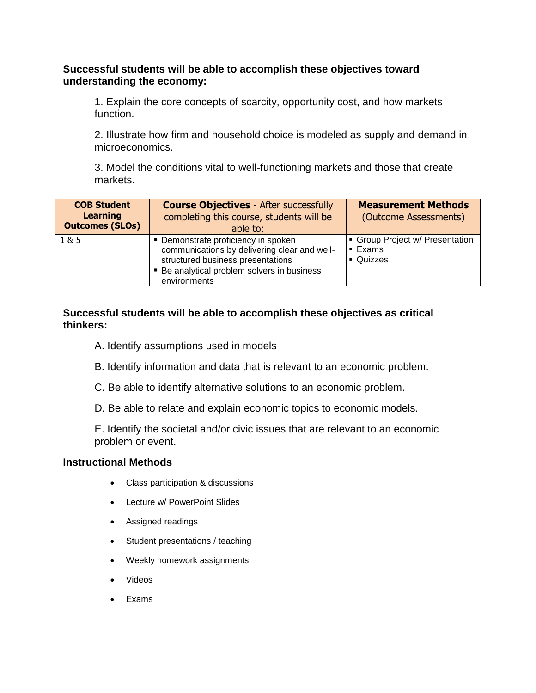#### **Successful students will be able to accomplish these objectives toward understanding the economy:**

1. Explain the core concepts of scarcity, opportunity cost, and how markets function.

2. Illustrate how firm and household choice is modeled as supply and demand in microeconomics.

3. Model the conditions vital to well-functioning markets and those that create markets.

| <b>COB Student</b><br><b>Learning</b><br><b>Outcomes (SLOs)</b> | <b>Course Objectives - After successfully</b><br>completing this course, students will be<br>able to:                                                                                   | <b>Measurement Methods</b><br>(Outcome Assessments)                |
|-----------------------------------------------------------------|-----------------------------------------------------------------------------------------------------------------------------------------------------------------------------------------|--------------------------------------------------------------------|
| 1 & 5                                                           | • Demonstrate proficiency in spoken<br>communications by delivering clear and well-<br>structured business presentations<br>• Be analytical problem solvers in business<br>environments | Group Project w/ Presentation<br>$\blacksquare$ Exams<br>• Quizzes |

#### **Successful students will be able to accomplish these objectives as critical thinkers:**

- A. Identify assumptions used in models
- B. Identify information and data that is relevant to an economic problem.
- C. Be able to identify alternative solutions to an economic problem.
- D. Be able to relate and explain economic topics to economic models.

E. Identify the societal and/or civic issues that are relevant to an economic problem or event.

#### **Instructional Methods**

- Class participation & discussions
- Lecture w/ PowerPoint Slides
- Assigned readings
- Student presentations / teaching
- Weekly homework assignments
- Videos
- $\bullet$  Fxams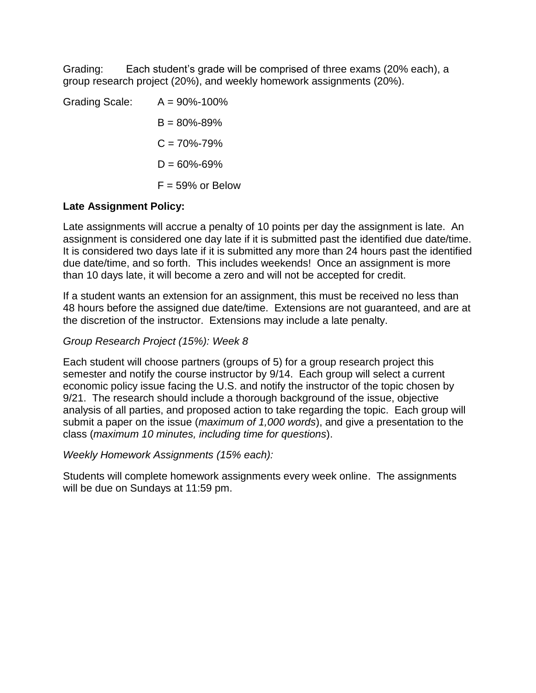Grading: Each student's grade will be comprised of three exams (20% each), a group research project (20%), and weekly homework assignments (20%).

| Grading Scale: | $A = 90\% - 100\%$  |
|----------------|---------------------|
|                | $B = 80\% - 89\%$   |
|                | $C = 70\% - 79\%$   |
|                | $D = 60\% - 69\%$   |
|                | $F = 59\%$ or Below |

# **Late Assignment Policy:**

Late assignments will accrue a penalty of 10 points per day the assignment is late. An assignment is considered one day late if it is submitted past the identified due date/time. It is considered two days late if it is submitted any more than 24 hours past the identified due date/time, and so forth. This includes weekends! Once an assignment is more than 10 days late, it will become a zero and will not be accepted for credit.

If a student wants an extension for an assignment, this must be received no less than 48 hours before the assigned due date/time. Extensions are not guaranteed, and are at the discretion of the instructor. Extensions may include a late penalty.

#### *Group Research Project (15%): Week 8*

Each student will choose partners (groups of 5) for a group research project this semester and notify the course instructor by 9/14. Each group will select a current economic policy issue facing the U.S. and notify the instructor of the topic chosen by 9/21. The research should include a thorough background of the issue, objective analysis of all parties, and proposed action to take regarding the topic. Each group will submit a paper on the issue (*maximum of 1,000 words*), and give a presentation to the class (*maximum 10 minutes, including time for questions*).

#### *Weekly Homework Assignments (15% each):*

Students will complete homework assignments every week online. The assignments will be due on Sundays at 11:59 pm.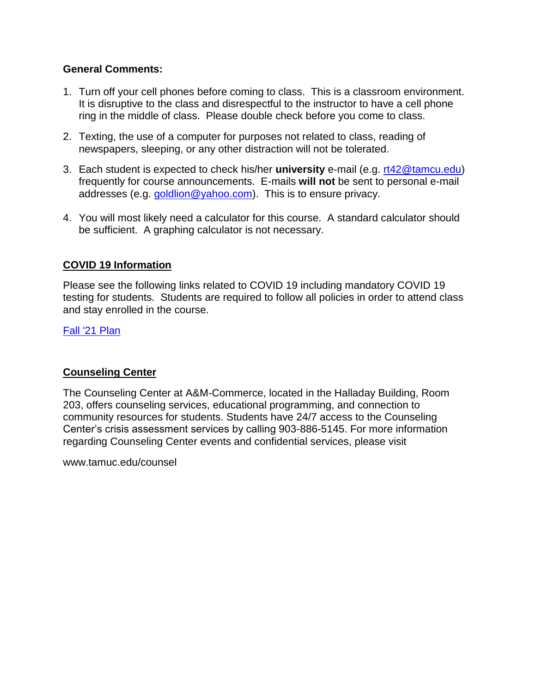#### **General Comments:**

- 1. Turn off your cell phones before coming to class. This is a classroom environment. It is disruptive to the class and disrespectful to the instructor to have a cell phone ring in the middle of class. Please double check before you come to class.
- 2. Texting, the use of a computer for purposes not related to class, reading of newspapers, sleeping, or any other distraction will not be tolerated.
- 3. Each student is expected to check his/her **university** e-mail (e.g. [rt42@tamcu.edu\)](mailto:rt42@tamcu.edu) frequently for course announcements. E-mails **will not** be sent to personal e-mail addresses (e.g. [goldlion@yahoo.com\)](mailto:goldlion@yahoo.com). This is to ensure privacy.
- 4. You will most likely need a calculator for this course. A standard calculator should be sufficient. A graphing calculator is not necessary.

# **COVID 19 Information**

Please see the following links related to COVID 19 including mandatory COVID 19 testing for students. Students are required to follow all policies in order to attend class and stay enrolled in the course.

#### [Fall '21 Plan](chrome-extension://gphandlahdpffmccakmbngmbjnjiiahp/https:/storage.googleapis.com/stateless-new-tamuc-edu/2021/08/20d3bc45-new-fall-2021-covid-19-management-and-guidance-plan-8-13-2021-revised.pdf)

#### **Counseling Center**

The Counseling Center at A&M-Commerce, located in the Halladay Building, Room 203, offers counseling services, educational programming, and connection to community resources for students. Students have 24/7 access to the Counseling Center's crisis assessment services by calling 903-886-5145. For more information regarding Counseling Center events and confidential services, please visit

www.tamuc.edu/counsel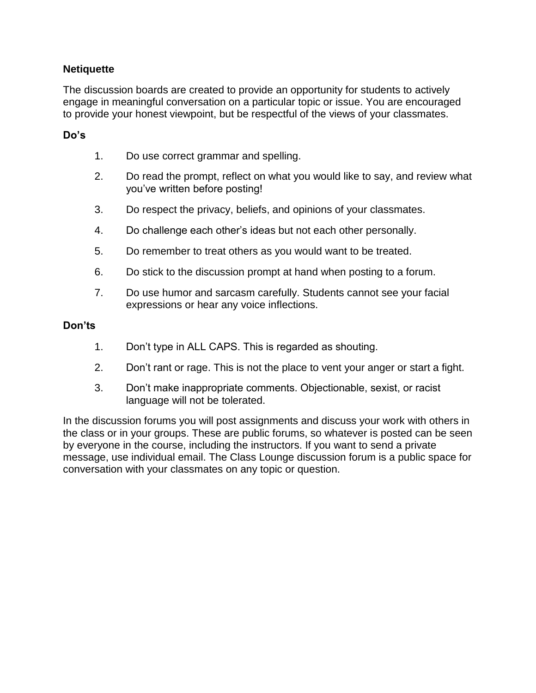#### **Netiquette**

The discussion boards are created to provide an opportunity for students to actively engage in meaningful conversation on a particular topic or issue. You are encouraged to provide your honest viewpoint, but be respectful of the views of your classmates.

#### **Do's**

- 1. Do use correct grammar and spelling.
- 2. Do read the prompt, reflect on what you would like to say, and review what you've written before posting!
- 3. Do respect the privacy, beliefs, and opinions of your classmates.
- 4. Do challenge each other's ideas but not each other personally.
- 5. Do remember to treat others as you would want to be treated.
- 6. Do stick to the discussion prompt at hand when posting to a forum.
- 7. Do use humor and sarcasm carefully. Students cannot see your facial expressions or hear any voice inflections.

#### **Don'ts**

- 1. Don't type in ALL CAPS. This is regarded as shouting.
- 2. Don't rant or rage. This is not the place to vent your anger or start a fight.
- 3. Don't make inappropriate comments. Objectionable, sexist, or racist language will not be tolerated.

In the discussion forums you will post assignments and discuss your work with others in the class or in your groups. These are public forums, so whatever is posted can be seen by everyone in the course, including the instructors. If you want to send a private message, use individual email. The Class Lounge discussion forum is a public space for conversation with your classmates on any topic or question.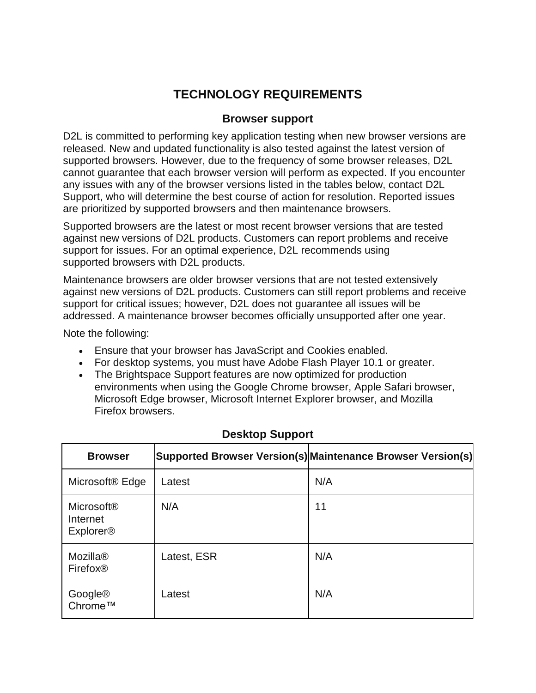# **TECHNOLOGY REQUIREMENTS**

# **Browser support**

D2L is committed to performing key application testing when new browser versions are released. New and updated functionality is also tested against the latest version of supported browsers. However, due to the frequency of some browser releases, D2L cannot guarantee that each browser version will perform as expected. If you encounter any issues with any of the browser versions listed in the tables below, contact D2L Support, who will determine the best course of action for resolution. Reported issues are prioritized by supported browsers and then maintenance browsers.

Supported browsers are the latest or most recent browser versions that are tested against new versions of D2L products. Customers can report problems and receive support for issues. For an optimal experience, D2L recommends using supported browsers with D2L products.

Maintenance browsers are older browser versions that are not tested extensively against new versions of D2L products. Customers can still report problems and receive support for critical issues; however, D2L does not guarantee all issues will be addressed. A maintenance browser becomes officially unsupported after one year.

Note the following:

- Ensure that your browser has JavaScript and Cookies enabled.
- For desktop systems, you must have Adobe Flash Player 10.1 or greater.
- The Brightspace Support features are now optimized for production environments when using the Google Chrome browser, Apple Safari browser, Microsoft Edge browser, Microsoft Internet Explorer browser, and Mozilla Firefox browsers.

| <b>Browser</b>                                                          |             | Supported Browser Version(s) Maintenance Browser Version(s) |
|-------------------------------------------------------------------------|-------------|-------------------------------------------------------------|
| Microsoft <sup>®</sup> Edge                                             | Latest      | N/A                                                         |
| <b>Microsoft<sup>®</sup></b><br>Internet<br><b>Explorer<sup>®</sup></b> | N/A         | 11                                                          |
| Mozilla <sup>®</sup><br>Firefox <sup>®</sup>                            | Latest, ESR | N/A                                                         |
| Google®<br>Chrome™                                                      | Latest      | N/A                                                         |

# **Desktop Support**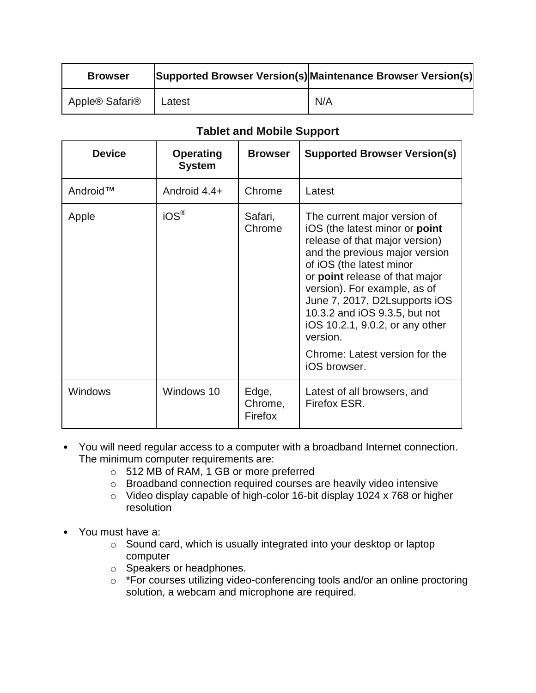| <b>Browser</b> |        | Supported Browser Version(s) Maintenance Browser Version(s) |
|----------------|--------|-------------------------------------------------------------|
| Apple® Safari® | Latest | N/A                                                         |

| <b>Device</b>  | <b>Operating</b><br><b>System</b> | <b>Browser</b>              | <b>Supported Browser Version(s)</b>                                                                                                                                                                                                                                                                                                                                                                 |
|----------------|-----------------------------------|-----------------------------|-----------------------------------------------------------------------------------------------------------------------------------------------------------------------------------------------------------------------------------------------------------------------------------------------------------------------------------------------------------------------------------------------------|
| Android™       | Android 4.4+                      | Chrome                      | Latest                                                                                                                                                                                                                                                                                                                                                                                              |
| Apple          | $iOS^{\circledR}$                 | Safari,<br>Chrome           | The current major version of<br>iOS (the latest minor or point<br>release of that major version)<br>and the previous major version<br>of iOS (the latest minor<br>or point release of that major<br>version). For example, as of<br>June 7, 2017, D2Lsupports iOS<br>10.3.2 and iOS 9.3.5, but not<br>iOS 10.2.1, 9.0.2, or any other<br>version.<br>Chrome: Latest version for the<br>iOS browser. |
| <b>Windows</b> | Windows 10                        | Edge,<br>Chrome,<br>Firefox | Latest of all browsers, and<br>Firefox ESR.                                                                                                                                                                                                                                                                                                                                                         |

- You will need regular access to a computer with a broadband Internet connection. The minimum computer requirements are:
	- o 512 MB of RAM, 1 GB or more preferred
	- o Broadband connection required courses are heavily video intensive
	- o Video display capable of high-color 16-bit display 1024 x 768 or higher resolution
- You must have a:
	- o Sound card, which is usually integrated into your desktop or laptop computer
	- o Speakers or headphones.
	- o \*For courses utilizing video-conferencing tools and/or an online proctoring solution, a webcam and microphone are required.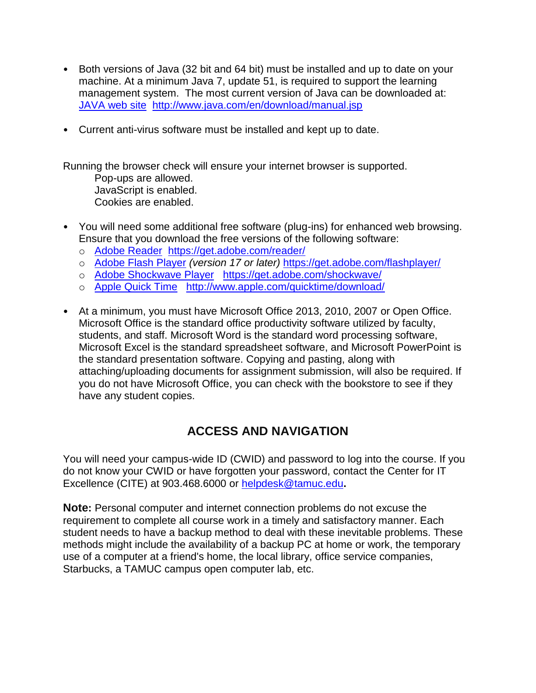- Both versions of Java (32 bit and 64 bit) must be installed and up to date on your machine. At a minimum Java 7, update 51, is required to support the learning management system. The most current version of Java can be downloaded at: [JAVA web site http://www.java.com/en/download/manual.jsp](http://www.java.com/en/download/manual.jsp)
- Current anti-virus software must be installed and kept up to date.

Running the browser check will ensure your internet browser is supported.

Pop-ups are allowed. JavaScript is enabled. Cookies are enabled.

- You will need some additional free software (plug-ins) for enhanced web browsing. Ensure that you download the free versions of the following software:
	- o [Adobe Reader https://get.adobe.com/reader/](https://get.adobe.com/reader/)
	- o [Adobe Flash Player](https://get.adobe.com/flashplayer/) *(version 17 or later)* <https://get.adobe.com/flashplayer/>
	- o [Adobe Shockwave Player https://get.adobe.com/shockwave/](https://get.adobe.com/shockwave/)
	- o [Apple Quick Time http://www.apple.com/quicktime/download/](http://www.apple.com/quicktime/download/)
- At a minimum, you must have Microsoft Office 2013, 2010, 2007 or Open Office. Microsoft Office is the standard office productivity software utilized by faculty, students, and staff. Microsoft Word is the standard word processing software, Microsoft Excel is the standard spreadsheet software, and Microsoft PowerPoint is the standard presentation software. Copying and pasting, along with attaching/uploading documents for assignment submission, will also be required. If you do not have Microsoft Office, you can check with the bookstore to see if they have any student copies.

# **ACCESS AND NAVIGATION**

You will need your campus-wide ID (CWID) and password to log into the course. If you do not know your CWID or have forgotten your password, contact the Center for IT Excellence (CITE) at 903.468.6000 or [helpdesk@tamuc.edu](mailto:helpdesk@tamuc.edu)**.**

**Note:** Personal computer and internet connection problems do not excuse the requirement to complete all course work in a timely and satisfactory manner. Each student needs to have a backup method to deal with these inevitable problems. These methods might include the availability of a backup PC at home or work, the temporary use of a computer at a friend's home, the local library, office service companies, Starbucks, a TAMUC campus open computer lab, etc.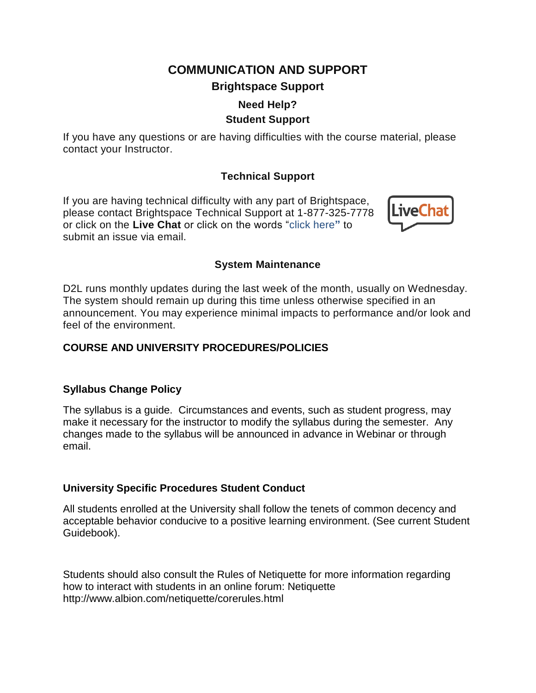# **COMMUNICATION AND SUPPORT Brightspace Support**

# **Need Help? Student Support**

If you have any questions or are having difficulties with the course material, please contact your Instructor.

# **Technical Support**

If you are having technical difficulty with any part of Brightspace, please contact Brightspace Technical Support at 1-877-325-7778 or click on the **Live Chat** or click on the words "click here**"** to submit an issue via email.



#### **System Maintenance**

D2L runs monthly updates during the last week of the month, usually on Wednesday. The system should remain up during this time unless otherwise specified in an announcement. You may experience minimal impacts to performance and/or look and feel of the environment.

# **COURSE AND UNIVERSITY PROCEDURES/POLICIES**

# **Syllabus Change Policy**

The syllabus is a guide. Circumstances and events, such as student progress, may make it necessary for the instructor to modify the syllabus during the semester. Any changes made to the syllabus will be announced in advance in Webinar or through email.

# **University Specific Procedures Student Conduct**

All students enrolled at the University shall follow the tenets of common decency and acceptable behavior conducive to a positive learning environment. (See current Student Guidebook).

Students should also consult the Rules of Netiquette for more information regarding how to interact with students in an online forum: Netiquette http://www.albion.com/netiquette/corerules.html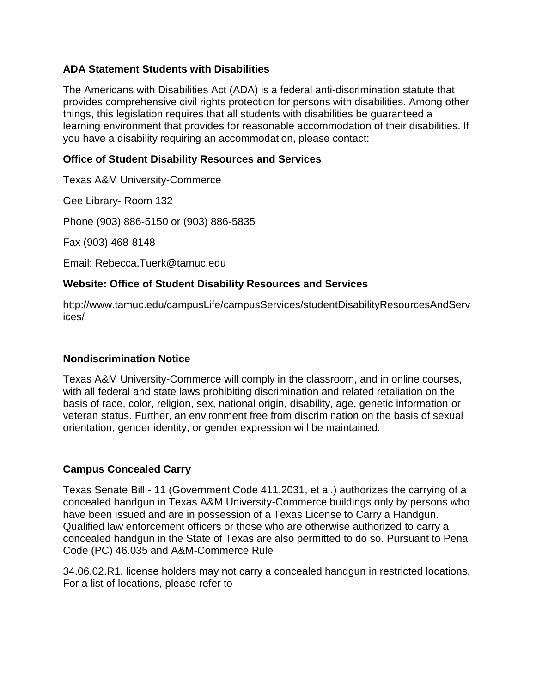#### **ADA Statement Students with Disabilities**

The Americans with Disabilities Act (ADA) is a federal anti-discrimination statute that provides comprehensive civil rights protection for persons with disabilities. Among other things, this legislation requires that all students with disabilities be guaranteed a learning environment that provides for reasonable accommodation of their disabilities. If you have a disability requiring an accommodation, please contact:

#### **Office of Student Disability Resources and Services**

Texas A&M University-Commerce

Gee Library- Room 132

Phone (903) 886-5150 or (903) 886-5835

Fax (903) 468-8148

Email: Rebecca.Tuerk@tamuc.edu

# **Website: Office of Student Disability Resources and Services**

http://www.tamuc.edu/campusLife/campusServices/studentDisabilityResourcesAndServ ices/

# **Nondiscrimination Notice**

Texas A&M University-Commerce will comply in the classroom, and in online courses, with all federal and state laws prohibiting discrimination and related retaliation on the basis of race, color, religion, sex, national origin, disability, age, genetic information or veteran status. Further, an environment free from discrimination on the basis of sexual orientation, gender identity, or gender expression will be maintained.

# **Campus Concealed Carry**

Texas Senate Bill - 11 (Government Code 411.2031, et al.) authorizes the carrying of a concealed handgun in Texas A&M University-Commerce buildings only by persons who have been issued and are in possession of a Texas License to Carry a Handgun. Qualified law enforcement officers or those who are otherwise authorized to carry a concealed handgun in the State of Texas are also permitted to do so. Pursuant to Penal Code (PC) 46.035 and A&M-Commerce Rule

34.06.02.R1, license holders may not carry a concealed handgun in restricted locations. For a list of locations, please refer to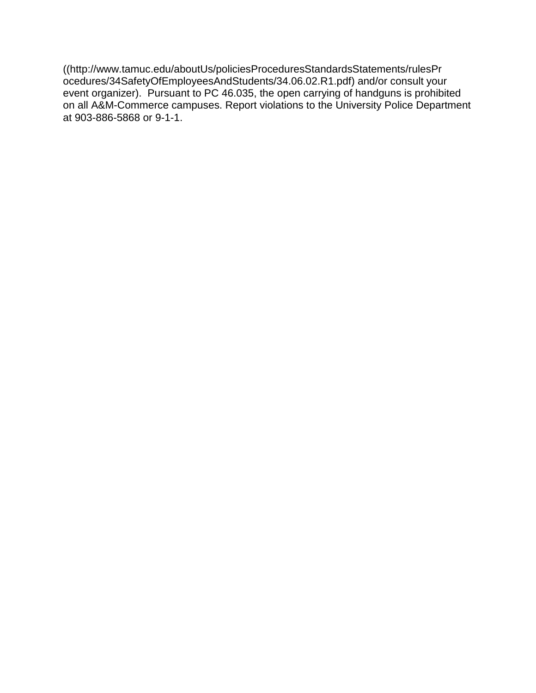((http://www.tamuc.edu/aboutUs/policiesProceduresStandardsStatements/rulesPr ocedures/34SafetyOfEmployeesAndStudents/34.06.02.R1.pdf) and/or consult your event organizer). Pursuant to PC 46.035, the open carrying of handguns is prohibited on all A&M-Commerce campuses. Report violations to the University Police Department at 903-886-5868 or 9-1-1.